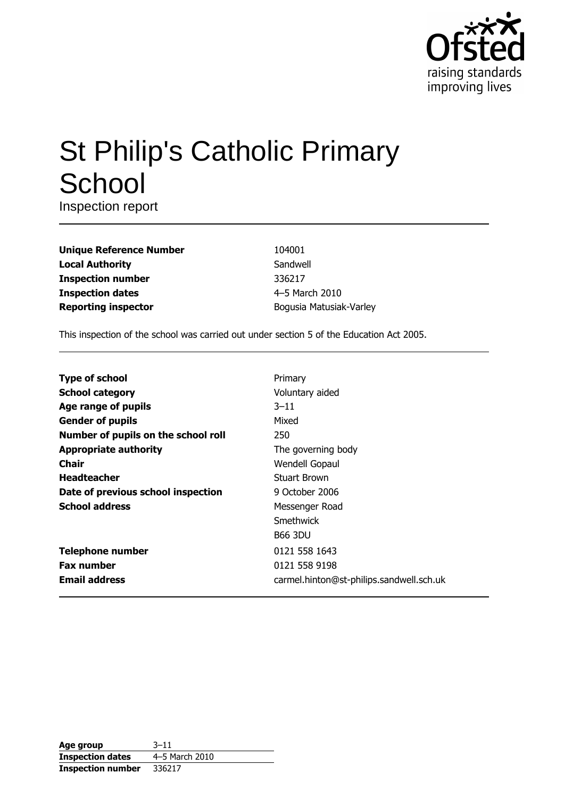

# **St Philip's Catholic Primary** School

Inspection report

| <b>Unique Reference Number</b> |
|--------------------------------|
| <b>Local Authority</b>         |
| <b>Inspection number</b>       |
| <b>Inspection dates</b>        |
| <b>Reporting inspector</b>     |

104001 Sandwell 336217 4-5 March 2010 Bogusia Matusiak-Varley

This inspection of the school was carried out under section 5 of the Education Act 2005.

| <b>Type of school</b>               | Primary                                  |
|-------------------------------------|------------------------------------------|
| <b>School category</b>              | Voluntary aided                          |
| Age range of pupils                 | $3 - 11$                                 |
| <b>Gender of pupils</b>             | Mixed                                    |
| Number of pupils on the school roll | 250                                      |
| <b>Appropriate authority</b>        | The governing body                       |
| <b>Chair</b>                        | Wendell Gopaul                           |
| <b>Headteacher</b>                  | <b>Stuart Brown</b>                      |
| Date of previous school inspection  | 9 October 2006                           |
| <b>School address</b>               | Messenger Road                           |
|                                     | Smethwick                                |
|                                     | <b>B66 3DU</b>                           |
| <b>Telephone number</b>             | 0121 558 1643                            |
| <b>Fax number</b>                   | 0121 558 9198                            |
| <b>Email address</b>                | carmel.hinton@st-philips.sandwell.sch.uk |

| Age group                | $3 - 11$       |
|--------------------------|----------------|
| <b>Inspection dates</b>  | 4–5 March 2010 |
| <b>Inspection number</b> | 336217         |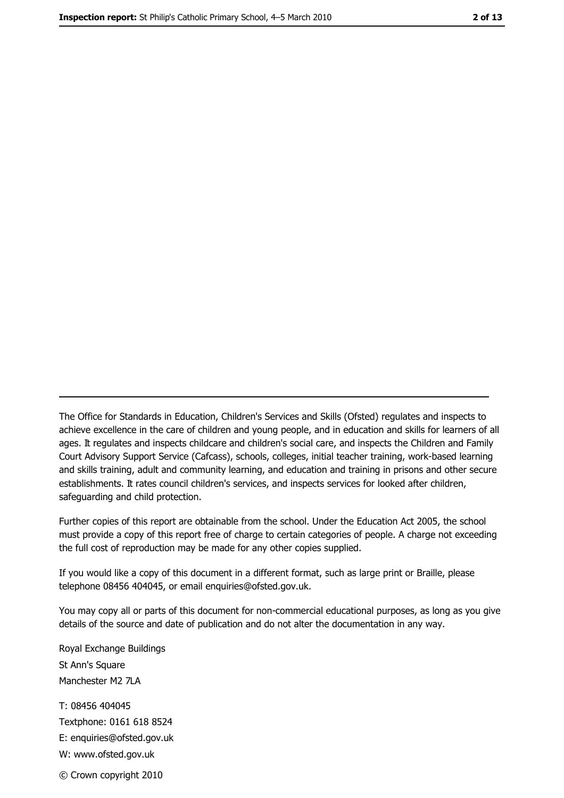The Office for Standards in Education, Children's Services and Skills (Ofsted) regulates and inspects to achieve excellence in the care of children and young people, and in education and skills for learners of all ages. It regulates and inspects childcare and children's social care, and inspects the Children and Family Court Advisory Support Service (Cafcass), schools, colleges, initial teacher training, work-based learning and skills training, adult and community learning, and education and training in prisons and other secure establishments. It rates council children's services, and inspects services for looked after children, safequarding and child protection.

Further copies of this report are obtainable from the school. Under the Education Act 2005, the school must provide a copy of this report free of charge to certain categories of people. A charge not exceeding the full cost of reproduction may be made for any other copies supplied.

If you would like a copy of this document in a different format, such as large print or Braille, please telephone 08456 404045, or email enquiries@ofsted.gov.uk.

You may copy all or parts of this document for non-commercial educational purposes, as long as you give details of the source and date of publication and do not alter the documentation in any way.

Royal Exchange Buildings St Ann's Square Manchester M2 7LA T: 08456 404045 Textphone: 0161 618 8524 E: enquiries@ofsted.gov.uk W: www.ofsted.gov.uk © Crown copyright 2010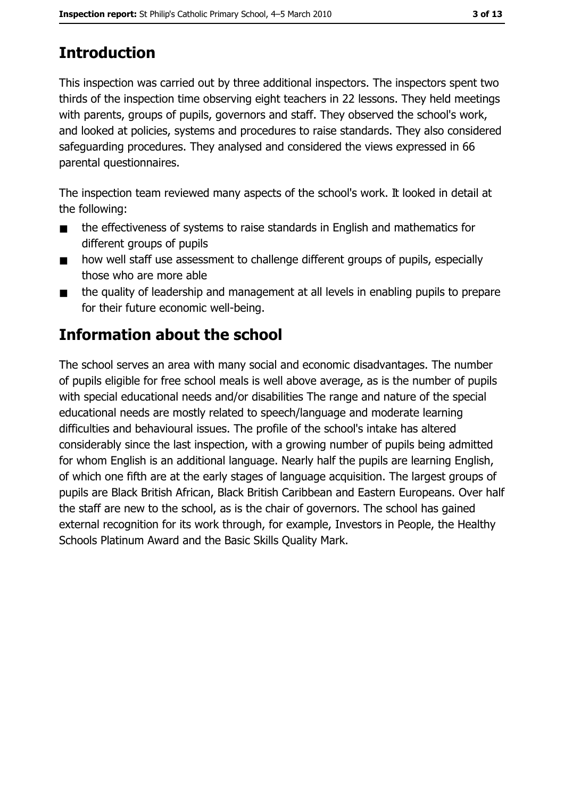## **Introduction**

This inspection was carried out by three additional inspectors. The inspectors spent two thirds of the inspection time observing eight teachers in 22 lessons. They held meetings with parents, groups of pupils, governors and staff. They observed the school's work, and looked at policies, systems and procedures to raise standards. They also considered safeguarding procedures. They analysed and considered the views expressed in 66 parental questionnaires.

The inspection team reviewed many aspects of the school's work. It looked in detail at the following:

- the effectiveness of systems to raise standards in English and mathematics for  $\blacksquare$ different groups of pupils
- how well staff use assessment to challenge different groups of pupils, especially  $\blacksquare$ those who are more able
- the quality of leadership and management at all levels in enabling pupils to prepare  $\blacksquare$ for their future economic well-being.

## **Information about the school**

The school serves an area with many social and economic disadvantages. The number of pupils eligible for free school meals is well above average, as is the number of pupils with special educational needs and/or disabilities The range and nature of the special educational needs are mostly related to speech/language and moderate learning difficulties and behavioural issues. The profile of the school's intake has altered considerably since the last inspection, with a growing number of pupils being admitted for whom English is an additional language. Nearly half the pupils are learning English, of which one fifth are at the early stages of language acquisition. The largest groups of pupils are Black British African, Black British Caribbean and Eastern Europeans. Over half the staff are new to the school, as is the chair of governors. The school has gained external recognition for its work through, for example, Investors in People, the Healthy Schools Platinum Award and the Basic Skills Quality Mark.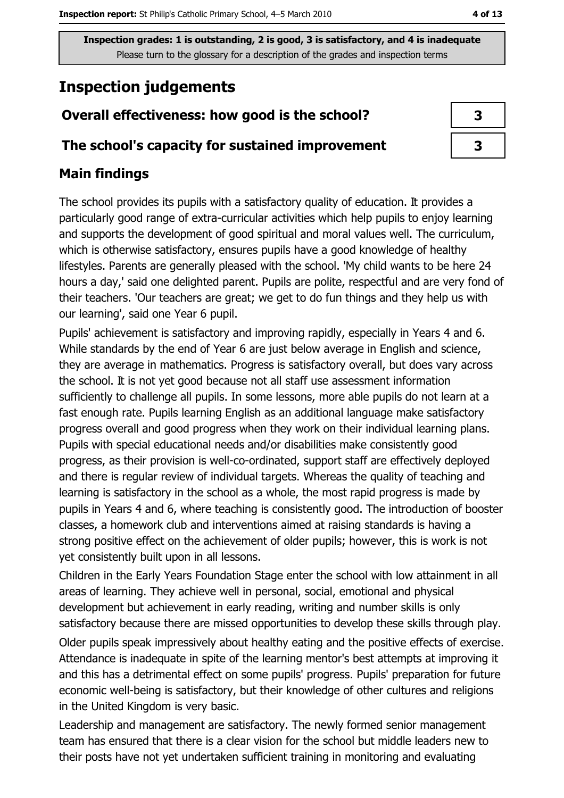## **Inspection judgements**

#### Overall effectiveness: how good is the school?

#### The school's capacity for sustained improvement

#### **Main findings**

The school provides its pupils with a satisfactory quality of education. It provides a particularly good range of extra-curricular activities which help pupils to enjoy learning and supports the development of good spiritual and moral values well. The curriculum, which is otherwise satisfactory, ensures pupils have a good knowledge of healthy lifestyles. Parents are generally pleased with the school. 'My child wants to be here 24 hours a day,' said one delighted parent. Pupils are polite, respectful and are very fond of their teachers. 'Our teachers are great; we get to do fun things and they help us with our learning', said one Year 6 pupil.

Pupils' achievement is satisfactory and improving rapidly, especially in Years 4 and 6. While standards by the end of Year 6 are just below average in English and science, they are average in mathematics. Progress is satisfactory overall, but does vary across the school. It is not yet good because not all staff use assessment information sufficiently to challenge all pupils. In some lessons, more able pupils do not learn at a fast enough rate. Pupils learning English as an additional language make satisfactory progress overall and good progress when they work on their individual learning plans. Pupils with special educational needs and/or disabilities make consistently good progress, as their provision is well-co-ordinated, support staff are effectively deployed and there is regular review of individual targets. Whereas the quality of teaching and learning is satisfactory in the school as a whole, the most rapid progress is made by pupils in Years 4 and 6, where teaching is consistently good. The introduction of booster classes, a homework club and interventions aimed at raising standards is having a strong positive effect on the achievement of older pupils; however, this is work is not yet consistently built upon in all lessons.

Children in the Early Years Foundation Stage enter the school with low attainment in all areas of learning. They achieve well in personal, social, emotional and physical development but achievement in early reading, writing and number skills is only satisfactory because there are missed opportunities to develop these skills through play.

Older pupils speak impressively about healthy eating and the positive effects of exercise. Attendance is inadequate in spite of the learning mentor's best attempts at improving it and this has a detrimental effect on some pupils' progress. Pupils' preparation for future economic well-being is satisfactory, but their knowledge of other cultures and religions in the United Kingdom is very basic.

Leadership and management are satisfactory. The newly formed senior management team has ensured that there is a clear vision for the school but middle leaders new to their posts have not yet undertaken sufficient training in monitoring and evaluating

| 3 |  |
|---|--|
| 3 |  |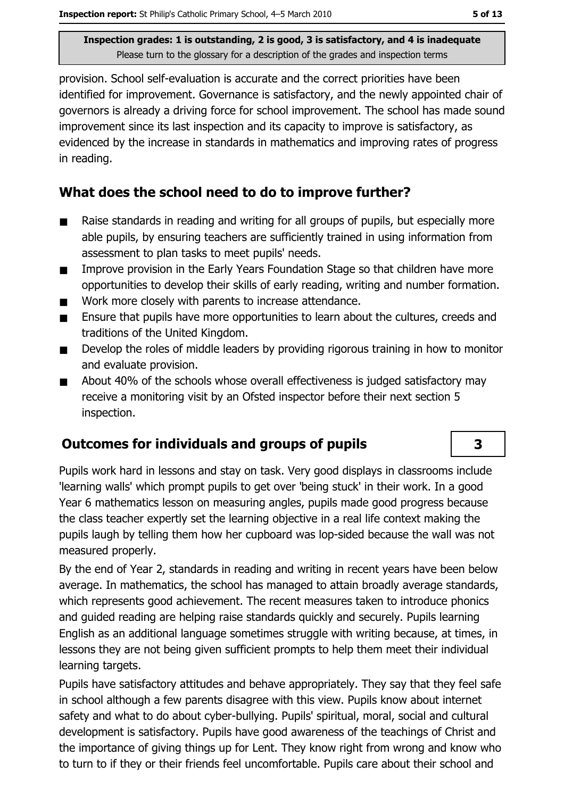provision. School self-evaluation is accurate and the correct priorities have been identified for improvement. Governance is satisfactory, and the newly appointed chair of governors is already a driving force for school improvement. The school has made sound improvement since its last inspection and its capacity to improve is satisfactory, as evidenced by the increase in standards in mathematics and improving rates of progress in reading.

#### What does the school need to do to improve further?

- Raise standards in reading and writing for all groups of pupils, but especially more  $\blacksquare$ able pupils, by ensuring teachers are sufficiently trained in using information from assessment to plan tasks to meet pupils' needs.
- Improve provision in the Early Years Foundation Stage so that children have more  $\blacksquare$ opportunities to develop their skills of early reading, writing and number formation.
- Work more closely with parents to increase attendance.  $\blacksquare$
- Ensure that pupils have more opportunities to learn about the cultures, creeds and  $\blacksquare$ traditions of the United Kingdom.
- Develop the roles of middle leaders by providing rigorous training in how to monitor  $\blacksquare$ and evaluate provision.
- About 40% of the schools whose overall effectiveness is judged satisfactory may  $\blacksquare$ receive a monitoring visit by an Ofsted inspector before their next section 5 inspection.

#### Outcomes for individuals and groups of pupils

Pupils work hard in lessons and stay on task. Very good displays in classrooms include 'learning walls' which prompt pupils to get over 'being stuck' in their work. In a good Year 6 mathematics lesson on measuring angles, pupils made good progress because the class teacher expertly set the learning objective in a real life context making the pupils laugh by telling them how her cupboard was lop-sided because the wall was not measured properly.

By the end of Year 2, standards in reading and writing in recent years have been below average. In mathematics, the school has managed to attain broadly average standards, which represents good achievement. The recent measures taken to introduce phonics and quided reading are helping raise standards quickly and securely. Pupils learning English as an additional language sometimes struggle with writing because, at times, in lessons they are not being given sufficient prompts to help them meet their individual learning targets.

Pupils have satisfactory attitudes and behave appropriately. They say that they feel safe in school although a few parents disagree with this view. Pupils know about internet safety and what to do about cyber-bullying. Pupils' spiritual, moral, social and cultural development is satisfactory. Pupils have good awareness of the teachings of Christ and the importance of giving things up for Lent. They know right from wrong and know who to turn to if they or their friends feel uncomfortable. Pupils care about their school and

 $\overline{\mathbf{3}}$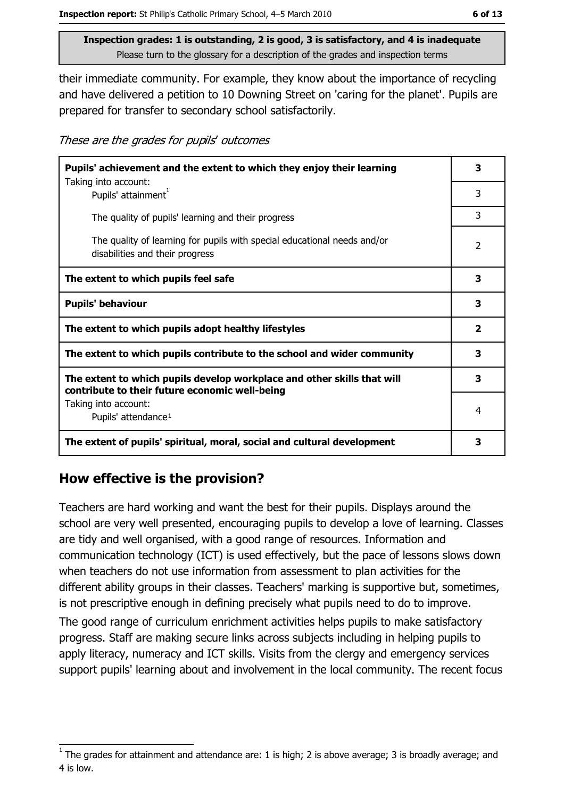their immediate community. For example, they know about the importance of recycling and have delivered a petition to 10 Downing Street on 'caring for the planet'. Pupils are prepared for transfer to secondary school satisfactorily.

These are the grades for pupils' outcomes

| Pupils' achievement and the extent to which they enjoy their learning                                                     |                          |  |
|---------------------------------------------------------------------------------------------------------------------------|--------------------------|--|
| Taking into account:<br>Pupils' attainment <sup>1</sup>                                                                   | 3                        |  |
| The quality of pupils' learning and their progress                                                                        | 3                        |  |
| The quality of learning for pupils with special educational needs and/or<br>disabilities and their progress               | $\overline{\phantom{a}}$ |  |
| The extent to which pupils feel safe                                                                                      | 3                        |  |
| <b>Pupils' behaviour</b>                                                                                                  | 3                        |  |
| The extent to which pupils adopt healthy lifestyles                                                                       | $\overline{\mathbf{2}}$  |  |
| The extent to which pupils contribute to the school and wider community                                                   |                          |  |
| The extent to which pupils develop workplace and other skills that will<br>contribute to their future economic well-being |                          |  |
| Taking into account:<br>Pupils' attendance <sup>1</sup>                                                                   | 4                        |  |
| The extent of pupils' spiritual, moral, social and cultural development                                                   | 3                        |  |

#### How effective is the provision?

Teachers are hard working and want the best for their pupils. Displays around the school are very well presented, encouraging pupils to develop a love of learning. Classes are tidy and well organised, with a good range of resources. Information and communication technology (ICT) is used effectively, but the pace of lessons slows down when teachers do not use information from assessment to plan activities for the different ability groups in their classes. Teachers' marking is supportive but, sometimes, is not prescriptive enough in defining precisely what pupils need to do to improve. The good range of curriculum enrichment activities helps pupils to make satisfactory

progress. Staff are making secure links across subjects including in helping pupils to apply literacy, numeracy and ICT skills. Visits from the clergy and emergency services support pupils' learning about and involvement in the local community. The recent focus

The grades for attainment and attendance are: 1 is high; 2 is above average; 3 is broadly average; and 4 is low.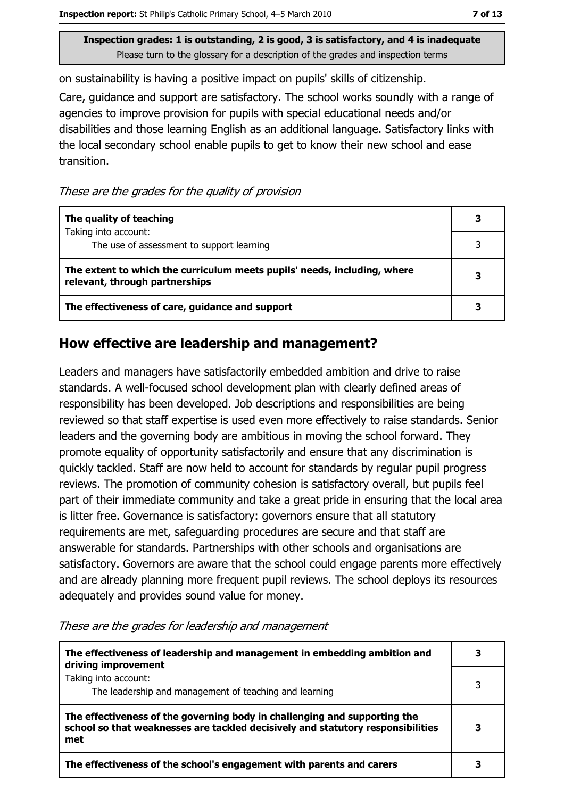on sustainability is having a positive impact on pupils' skills of citizenship.

Care, guidance and support are satisfactory. The school works soundly with a range of agencies to improve provision for pupils with special educational needs and/or disabilities and those learning English as an additional language. Satisfactory links with the local secondary school enable pupils to get to know their new school and ease transition.

These are the grades for the quality of provision

| The quality of teaching                                                                                    |   |
|------------------------------------------------------------------------------------------------------------|---|
| Taking into account:<br>The use of assessment to support learning                                          |   |
| The extent to which the curriculum meets pupils' needs, including, where<br>relevant, through partnerships | 3 |
| The effectiveness of care, guidance and support                                                            |   |

#### How effective are leadership and management?

Leaders and managers have satisfactorily embedded ambition and drive to raise standards. A well-focused school development plan with clearly defined areas of responsibility has been developed. Job descriptions and responsibilities are being reviewed so that staff expertise is used even more effectively to raise standards. Senior leaders and the governing body are ambitious in moving the school forward. They promote equality of opportunity satisfactorily and ensure that any discrimination is quickly tackled. Staff are now held to account for standards by regular pupil progress reviews. The promotion of community cohesion is satisfactory overall, but pupils feel part of their immediate community and take a great pride in ensuring that the local area is litter free. Governance is satisfactory: governors ensure that all statutory requirements are met, safeguarding procedures are secure and that staff are answerable for standards. Partnerships with other schools and organisations are satisfactory. Governors are aware that the school could engage parents more effectively and are already planning more frequent pupil reviews. The school deploys its resources adequately and provides sound value for money.

| The effectiveness of leadership and management in embedding ambition and<br>driving improvement                                                                     |  |
|---------------------------------------------------------------------------------------------------------------------------------------------------------------------|--|
| Taking into account:<br>The leadership and management of teaching and learning                                                                                      |  |
| The effectiveness of the governing body in challenging and supporting the<br>school so that weaknesses are tackled decisively and statutory responsibilities<br>met |  |
| The effectiveness of the school's engagement with parents and carers                                                                                                |  |

#### These are the grades for leadership and management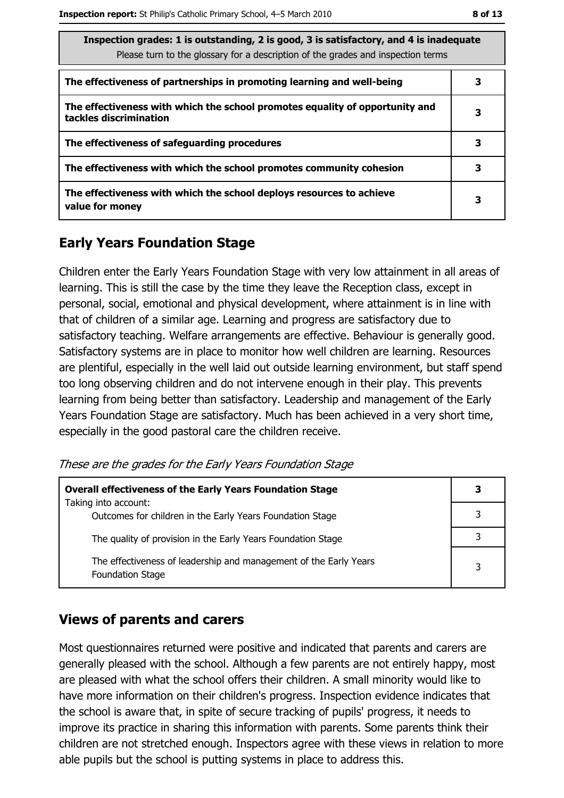| Inspection grades: 1 is outstanding, 2 is good, 3 is satisfactory, and 4 is inadequate<br>Please turn to the glossary for a description of the grades and inspection terms |   |  |  |
|----------------------------------------------------------------------------------------------------------------------------------------------------------------------------|---|--|--|
| The effectiveness of partnerships in promoting learning and well-being                                                                                                     |   |  |  |
| The effectiveness with which the school promotes equality of opportunity and<br>tackles discrimination                                                                     | 3 |  |  |
| The effectiveness of safeguarding procedures                                                                                                                               | 3 |  |  |
| The effectiveness with which the school promotes community cohesion                                                                                                        | 3 |  |  |
| The effectiveness with which the school deploys resources to achieve<br>value for money                                                                                    | 3 |  |  |

#### **Early Years Foundation Stage**

Children enter the Early Years Foundation Stage with very low attainment in all areas of learning. This is still the case by the time they leave the Reception class, except in personal, social, emotional and physical development, where attainment is in line with that of children of a similar age. Learning and progress are satisfactory due to satisfactory teaching. Welfare arrangements are effective. Behaviour is generally good. Satisfactory systems are in place to monitor how well children are learning. Resources are plentiful, especially in the well laid out outside learning environment, but staff spend too long observing children and do not intervene enough in their play. This prevents learning from being better than satisfactory. Leadership and management of the Early Years Foundation Stage are satisfactory. Much has been achieved in a very short time, especially in the good pastoral care the children receive.

These are the grades for the Early Years Foundation Stage

| <b>Overall effectiveness of the Early Years Foundation Stage</b>                             | 3 |
|----------------------------------------------------------------------------------------------|---|
| Taking into account:<br>Outcomes for children in the Early Years Foundation Stage            |   |
| The quality of provision in the Early Years Foundation Stage                                 |   |
| The effectiveness of leadership and management of the Early Years<br><b>Foundation Stage</b> | 3 |

#### **Views of parents and carers**

Most questionnaires returned were positive and indicated that parents and carers are generally pleased with the school. Although a few parents are not entirely happy, most are pleased with what the school offers their children. A small minority would like to have more information on their children's progress. Inspection evidence indicates that the school is aware that, in spite of secure tracking of pupils' progress, it needs to improve its practice in sharing this information with parents. Some parents think their children are not stretched enough. Inspectors agree with these views in relation to more able pupils but the school is putting systems in place to address this.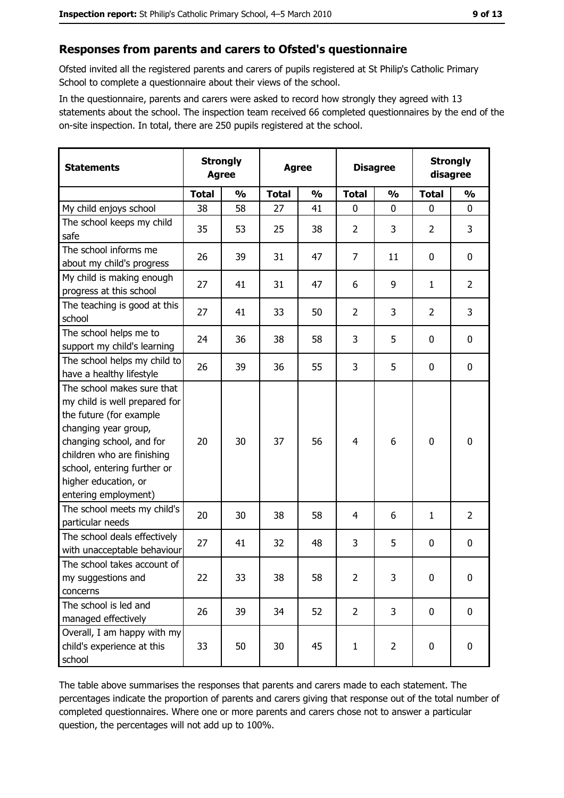#### Responses from parents and carers to Ofsted's questionnaire

Ofsted invited all the registered parents and carers of pupils registered at St Philip's Catholic Primary School to complete a questionnaire about their views of the school.

In the questionnaire, parents and carers were asked to record how strongly they agreed with 13 statements about the school. The inspection team received 66 completed questionnaires by the end of the on-site inspection. In total, there are 250 pupils registered at the school.

| <b>Statements</b>                                                                                                                                                                                                                                       | <b>Strongly</b><br><b>Agree</b> |               |              | <b>Agree</b>  |                | <b>Disagree</b> |                | <b>Strongly</b><br>disagree |
|---------------------------------------------------------------------------------------------------------------------------------------------------------------------------------------------------------------------------------------------------------|---------------------------------|---------------|--------------|---------------|----------------|-----------------|----------------|-----------------------------|
|                                                                                                                                                                                                                                                         | <b>Total</b>                    | $\frac{0}{0}$ | <b>Total</b> | $\frac{0}{0}$ | <b>Total</b>   | $\frac{1}{2}$   | <b>Total</b>   | $\frac{0}{0}$               |
| My child enjoys school                                                                                                                                                                                                                                  | 38                              | 58            | 27           | 41            | $\mathbf{0}$   | 0               | $\mathbf{0}$   | 0                           |
| The school keeps my child<br>safe                                                                                                                                                                                                                       | 35                              | 53            | 25           | 38            | $\overline{2}$ | 3               | $\overline{2}$ | 3                           |
| The school informs me<br>about my child's progress                                                                                                                                                                                                      | 26                              | 39            | 31           | 47            | 7              | 11              | 0              | 0                           |
| My child is making enough<br>progress at this school                                                                                                                                                                                                    | 27                              | 41            | 31           | 47            | 6              | 9               | 1              | $\overline{2}$              |
| The teaching is good at this<br>school                                                                                                                                                                                                                  | 27                              | 41            | 33           | 50            | $\overline{2}$ | 3               | $\overline{2}$ | 3                           |
| The school helps me to<br>support my child's learning                                                                                                                                                                                                   | 24                              | 36            | 38           | 58            | 3              | 5               | 0              | $\mathbf 0$                 |
| The school helps my child to<br>have a healthy lifestyle                                                                                                                                                                                                | 26                              | 39            | 36           | 55            | 3              | 5               | 0              | $\mathbf 0$                 |
| The school makes sure that<br>my child is well prepared for<br>the future (for example<br>changing year group,<br>changing school, and for<br>children who are finishing<br>school, entering further or<br>higher education, or<br>entering employment) | 20                              | 30            | 37           | 56            | $\overline{4}$ | 6               | $\mathbf 0$    | $\mathbf 0$                 |
| The school meets my child's<br>particular needs                                                                                                                                                                                                         | 20                              | 30            | 38           | 58            | 4              | 6               | 1              | $\overline{2}$              |
| The school deals effectively<br>with unacceptable behaviour                                                                                                                                                                                             | 27                              | 41            | 32           | 48            | 3              | 5               | 0              | 0                           |
| The school takes account of<br>my suggestions and<br>concerns                                                                                                                                                                                           | 22                              | 33            | 38           | 58            | $\overline{2}$ | 3               | 0              | $\bf{0}$                    |
| The school is led and<br>managed effectively                                                                                                                                                                                                            | 26                              | 39            | 34           | 52            | $\overline{2}$ | 3               | $\mathbf 0$    | $\mathbf 0$                 |
| Overall, I am happy with my<br>child's experience at this<br>school                                                                                                                                                                                     | 33                              | 50            | 30           | 45            | $\mathbf{1}$   | $\overline{2}$  | 0              | 0                           |

The table above summarises the responses that parents and carers made to each statement. The percentages indicate the proportion of parents and carers giving that response out of the total number of completed questionnaires. Where one or more parents and carers chose not to answer a particular question, the percentages will not add up to 100%.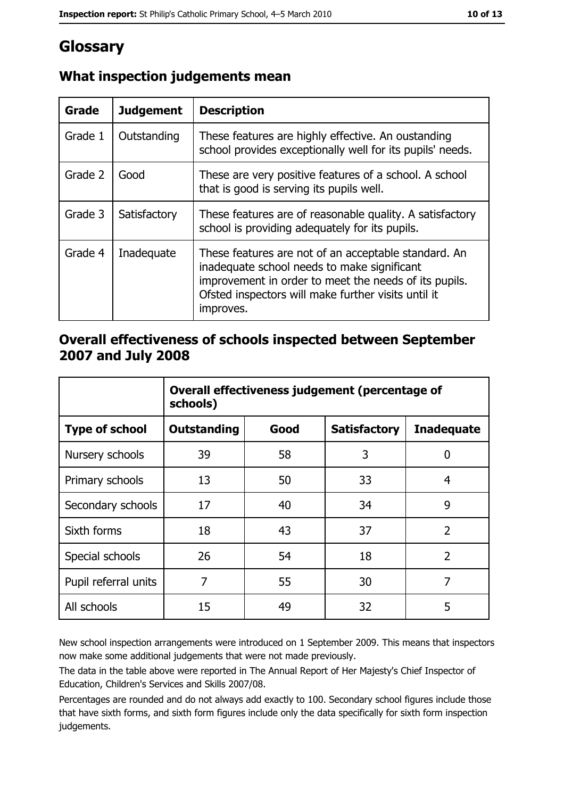## Glossary

| <b>Grade</b> | <b>Judgement</b> | <b>Description</b>                                                                                                                                                                                                               |
|--------------|------------------|----------------------------------------------------------------------------------------------------------------------------------------------------------------------------------------------------------------------------------|
| Grade 1      | Outstanding      | These features are highly effective. An oustanding<br>school provides exceptionally well for its pupils' needs.                                                                                                                  |
| Grade 2      | Good             | These are very positive features of a school. A school<br>that is good is serving its pupils well.                                                                                                                               |
| Grade 3      | Satisfactory     | These features are of reasonable quality. A satisfactory<br>school is providing adequately for its pupils.                                                                                                                       |
| Grade 4      | Inadequate       | These features are not of an acceptable standard. An<br>inadequate school needs to make significant<br>improvement in order to meet the needs of its pupils.<br>Ofsted inspectors will make further visits until it<br>improves. |

#### What inspection judgements mean

#### Overall effectiveness of schools inspected between September 2007 and July 2008

|                       | Overall effectiveness judgement (percentage of<br>schools) |      |                     |                   |  |
|-----------------------|------------------------------------------------------------|------|---------------------|-------------------|--|
| <b>Type of school</b> | <b>Outstanding</b>                                         | Good | <b>Satisfactory</b> | <b>Inadequate</b> |  |
| Nursery schools       | 39                                                         | 58   | 3                   | 0                 |  |
| Primary schools       | 13                                                         | 50   | 33                  | 4                 |  |
| Secondary schools     | 17                                                         | 40   | 34                  | 9                 |  |
| Sixth forms           | 18                                                         | 43   | 37                  | $\overline{2}$    |  |
| Special schools       | 26                                                         | 54   | 18                  | $\overline{2}$    |  |
| Pupil referral units  | 7                                                          | 55   | 30                  | 7                 |  |
| All schools           | 15                                                         | 49   | 32                  | 5                 |  |

New school inspection arrangements were introduced on 1 September 2009. This means that inspectors now make some additional judgements that were not made previously.

The data in the table above were reported in The Annual Report of Her Majesty's Chief Inspector of Education, Children's Services and Skills 2007/08.

Percentages are rounded and do not always add exactly to 100. Secondary school figures include those that have sixth forms, and sixth form figures include only the data specifically for sixth form inspection judgements.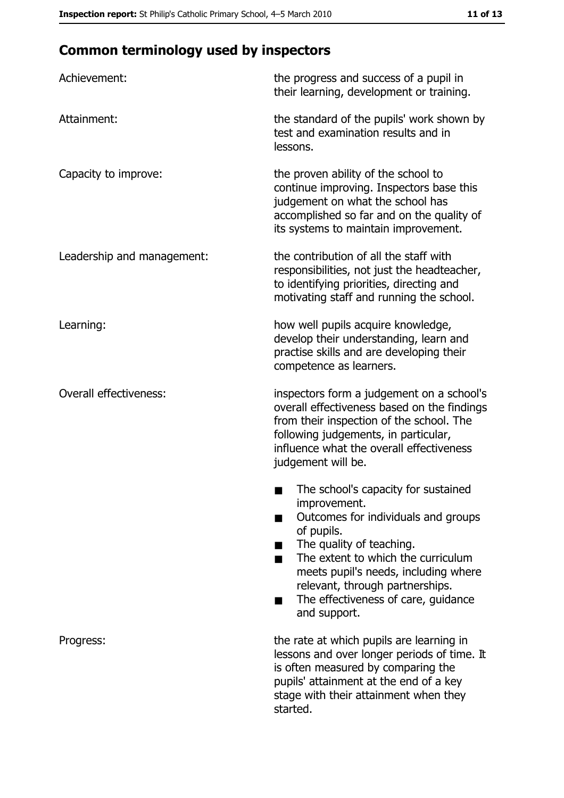## **Common terminology used by inspectors**

| Achievement:                  | the progress and success of a pupil in<br>their learning, development or training.                                                                                                                                                                                                                                |
|-------------------------------|-------------------------------------------------------------------------------------------------------------------------------------------------------------------------------------------------------------------------------------------------------------------------------------------------------------------|
| Attainment:                   | the standard of the pupils' work shown by<br>test and examination results and in<br>lessons.                                                                                                                                                                                                                      |
| Capacity to improve:          | the proven ability of the school to<br>continue improving. Inspectors base this<br>judgement on what the school has<br>accomplished so far and on the quality of<br>its systems to maintain improvement.                                                                                                          |
| Leadership and management:    | the contribution of all the staff with<br>responsibilities, not just the headteacher,<br>to identifying priorities, directing and<br>motivating staff and running the school.                                                                                                                                     |
| Learning:                     | how well pupils acquire knowledge,<br>develop their understanding, learn and<br>practise skills and are developing their<br>competence as learners.                                                                                                                                                               |
| <b>Overall effectiveness:</b> | inspectors form a judgement on a school's<br>overall effectiveness based on the findings<br>from their inspection of the school. The<br>following judgements, in particular,<br>influence what the overall effectiveness<br>judgement will be.                                                                    |
|                               | The school's capacity for sustained<br>improvement.<br>Outcomes for individuals and groups<br>of pupils.<br>The quality of teaching.<br>The extent to which the curriculum<br>meets pupil's needs, including where<br>relevant, through partnerships.<br>The effectiveness of care, guidance<br>■<br>and support. |
| Progress:                     | the rate at which pupils are learning in<br>lessons and over longer periods of time. It<br>is often measured by comparing the<br>pupils' attainment at the end of a key<br>stage with their attainment when they<br>started.                                                                                      |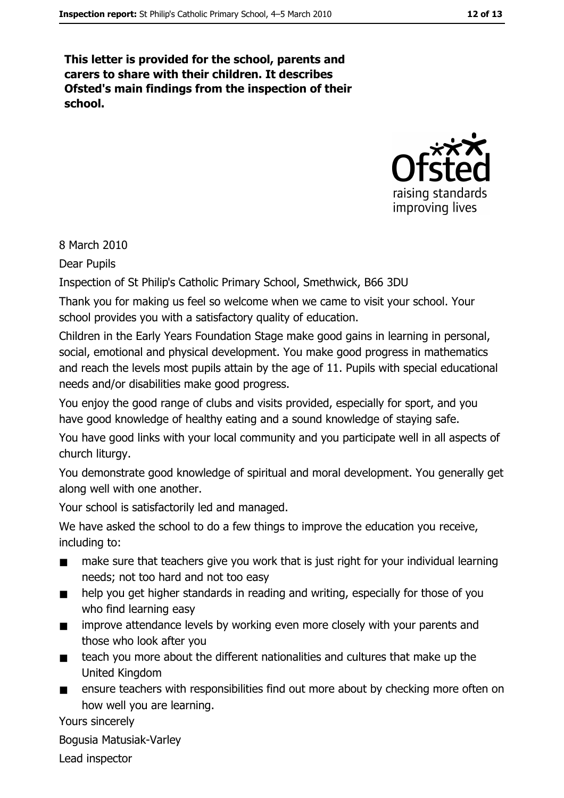This letter is provided for the school, parents and carers to share with their children. It describes Ofsted's main findings from the inspection of their school.



8 March 2010

**Dear Pupils** 

Inspection of St Philip's Catholic Primary School, Smethwick, B66 3DU

Thank you for making us feel so welcome when we came to visit your school. Your school provides you with a satisfactory quality of education.

Children in the Early Years Foundation Stage make good gains in learning in personal, social, emotional and physical development. You make good progress in mathematics and reach the levels most pupils attain by the age of 11. Pupils with special educational needs and/or disabilities make good progress.

You enjoy the good range of clubs and visits provided, especially for sport, and you have good knowledge of healthy eating and a sound knowledge of staying safe.

You have good links with your local community and you participate well in all aspects of church liturgy.

You demonstrate good knowledge of spiritual and moral development. You generally get along well with one another.

Your school is satisfactorily led and managed.

We have asked the school to do a few things to improve the education you receive, including to:

- make sure that teachers give you work that is just right for your individual learning  $\blacksquare$ needs; not too hard and not too easy
- help you get higher standards in reading and writing, especially for those of you  $\blacksquare$ who find learning easy
- improve attendance levels by working even more closely with your parents and  $\blacksquare$ those who look after you
- teach you more about the different nationalities and cultures that make up the  $\blacksquare$ United Kingdom
- ensure teachers with responsibilities find out more about by checking more often on  $\blacksquare$ how well you are learning.

Yours sincerely

Bogusia Matusiak-Varley

Lead inspector